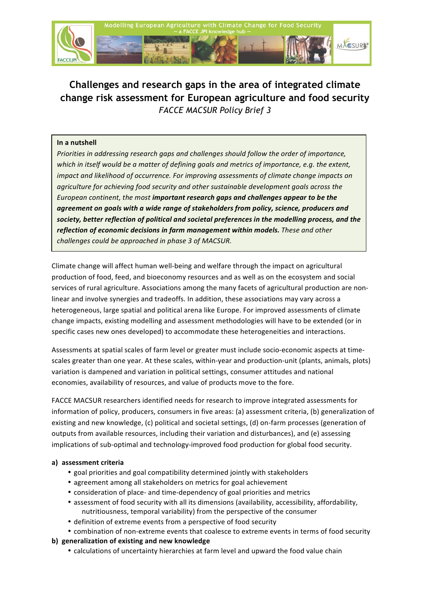

# **Challenges and research gaps in the area of integrated climate change risk assessment for European agriculture and food security** *FACCE MACSUR Policy Brief 3*

#### **In a nutshell**

*Priorities in addressing research gaps and challenges should follow the order of importance, which* in itself would be a matter of defining goals and metrics of importance, e.g. the extent, *impact and likelihood of occurrence. For improving assessments of climate change impacts on agriculture for achieving food security and other sustainable development goals across the European continent, the most important research gaps and challenges appear to be the agreement on goals with a wide range of stakeholders from policy, science, producers and* society, better reflection of political and societal preferences in the modelling process, and the reflection of economic decisions in farm management within models. These and other *challenges could be approached in phase 3 of MACSUR.* 

Climate change will affect human well-being and welfare through the impact on agricultural production of food, feed, and bioeconomy resources and as well as on the ecosystem and social services of rural agriculture. Associations among the many facets of agricultural production are nonlinear and involve synergies and tradeoffs. In addition, these associations may vary across a heterogeneous, large spatial and political arena like Europe. For improved assessments of climate change impacts, existing modelling and assessment methodologies will have to be extended (or in specific cases new ones developed) to accommodate these heterogeneities and interactions.

Assessments at spatial scales of farm level or greater must include socio-economic aspects at timescales greater than one year. At these scales, within-year and production-unit (plants, animals, plots) variation is dampened and variation in political settings, consumer attitudes and national economies, availability of resources, and value of products move to the fore.

FACCE MACSUR researchers identified needs for research to improve integrated assessments for information of policy, producers, consumers in five areas: (a) assessment criteria, (b) generalization of existing and new knowledge, (c) political and societal settings, (d) on-farm processes (generation of outputs from available resources, including their variation and disturbances), and (e) assessing implications of sub-optimal and technology-improved food production for global food security.

## **a) assessment criteria**

- goal priorities and goal compatibility determined jointly with stakeholders
- agreement among all stakeholders on metrics for goal achievement
- consideration of place- and time-dependency of goal priorities and metrics
- assessment of food security with all its dimensions (availability, accessibility, affordability, nutritiousness, temporal variability) from the perspective of the consumer
- definition of extreme events from a perspective of food security
- combination of non-extreme events that coalesce to extreme events in terms of food security
- **b)** generalization of existing and new knowledge
	- calculations of uncertainty hierarchies at farm level and upward the food value chain